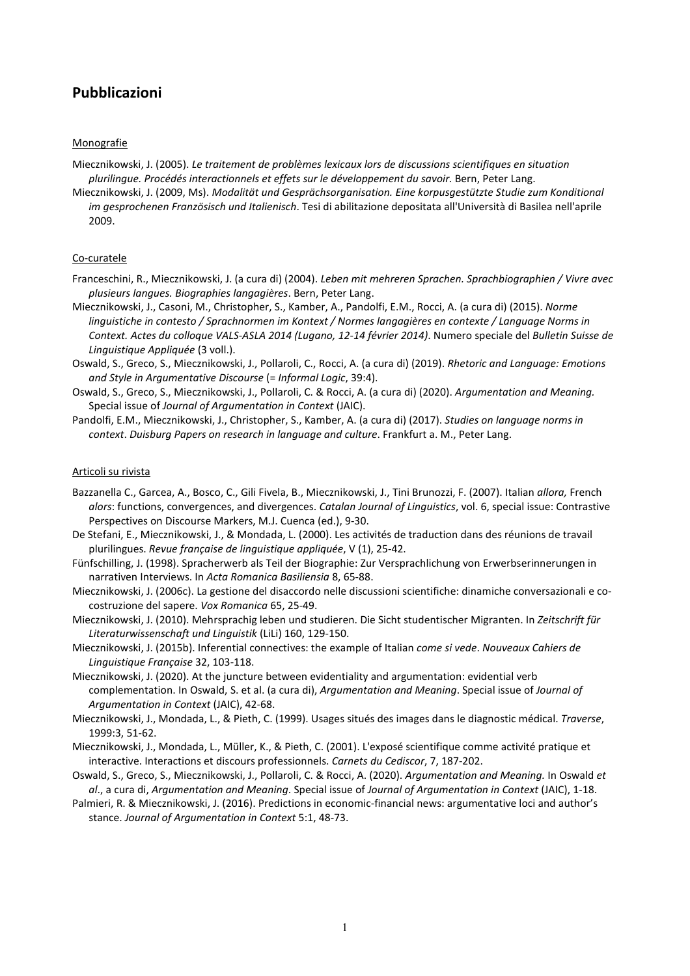# **Pubblicazioni**

# **Monografie**

Miecznikowski, J. (2005). *Le traitement de problèmes lexicaux lors de discussions scientifiques en situation plurilingue. Procédés interactionnels et effets sur le développement du savoir.* Bern, Peter Lang.

Miecznikowski, J. (2009, Ms). *Modalität und Gesprächsorganisation. Eine korpusgestützte Studie zum Konditional im gesprochenen Französisch und Italienisch*. Tesi di abilitazione depositata all'Università di Basilea nell'aprile 2009.

## Co-curatele

- Franceschini, R., Miecznikowski, J. (a cura di) (2004). *Leben mit mehreren Sprachen. Sprachbiographien / Vivre avec plusieurs langues. Biographies langagières*. Bern, Peter Lang.
- Miecznikowski, J., Casoni, M., Christopher, S., Kamber, A., Pandolfi, E.M., Rocci, A. (a cura di) (2015). *Norme linguistiche in contesto / Sprachnormen im Kontext / Normes langagières en contexte / Language Norms in Context. Actes du colloque VALS-ASLA 2014 (Lugano, 12-14 février 2014)*. Numero speciale del *Bulletin Suisse de Linguistique Appliquée* (3 voll.).
- Oswald, S., Greco, S., Miecznikowski, J., Pollaroli, C., Rocci, A. (a cura di) (2019). *Rhetoric and Language: Emotions and Style in Argumentative Discourse* (= *Informal Logic*, 39:4).
- Oswald, S., Greco, S., Miecznikowski, J., Pollaroli, C. & Rocci, A. (a cura di) (2020). *Argumentation and Meaning.* Special issue of *Journal of Argumentation in Context* (JAIC).
- Pandolfi, E.M., Miecznikowski, J., Christopher, S., Kamber, A. (a cura di) (2017). *Studies on language norms in context*. *Duisburg Papers on research in language and culture*. Frankfurt a. M., Peter Lang.

#### Articoli su rivista

- Bazzanella C., Garcea, A., Bosco, C., Gili Fivela, B., Miecznikowski, J., Tini Brunozzi, F. (2007). Italian *allora,* French *alors*: functions, convergences, and divergences. *Catalan Journal of Linguistics*, vol. 6, special issue: Contrastive Perspectives on Discourse Markers, M.J. Cuenca (ed.), 9-30.
- De Stefani, E., Miecznikowski, J., & Mondada, L. (2000). Les activités de traduction dans des réunions de travail plurilingues. *Revue française de linguistique appliquée*, V (1), 25-42.
- Fünfschilling, J. (1998). Spracherwerb als Teil der Biographie: Zur Versprachlichung von Erwerbserinnerungen in narrativen Interviews. In *Acta Romanica Basiliensia* 8, 65-88.
- Miecznikowski, J. (2006c). La gestione del disaccordo nelle discussioni scientifiche: dinamiche conversazionali e cocostruzione del sapere. *Vox Romanica* 65, 25-49.
- Miecznikowski, J. (2010). Mehrsprachig leben und studieren. Die Sicht studentischer Migranten. In *Zeitschrift für Literaturwissenschaft und Linguistik* (LiLi) 160, 129-150.
- Miecznikowski, J. (2015b). Inferential connectives: the example of Italian *come si vede*. *Nouveaux Cahiers de Linguistique Française* 32, 103-118.
- Miecznikowski, J. (2020). At the juncture between evidentiality and argumentation: evidential verb complementation. In Oswald, S. et al. (a cura di), *Argumentation and Meaning*. Special issue of *Journal of Argumentation in Context* (JAIC), 42-68.
- Miecznikowski, J., Mondada, L., & Pieth, C. (1999). Usages situés des images dans le diagnostic médical. *Traverse*, 1999:3, 51-62.
- Miecznikowski, J., Mondada, L., Müller, K., & Pieth, C. (2001). L'exposé scientifique comme activité pratique et interactive. Interactions et discours professionnels. *Carnets du Cediscor*, 7, 187-202.
- Oswald, S., Greco, S., Miecznikowski, J., Pollaroli, C. & Rocci, A. (2020). *Argumentation and Meaning.* In Oswald *et al*., a cura di, *Argumentation and Meaning*. Special issue of *Journal of Argumentation in Context* (JAIC), 1-18.
- Palmieri, R. & Miecznikowski, J. (2016). Predictions in economic-financial news: argumentative loci and author's stance. *Journal of Argumentation in Context* 5:1, 48-73.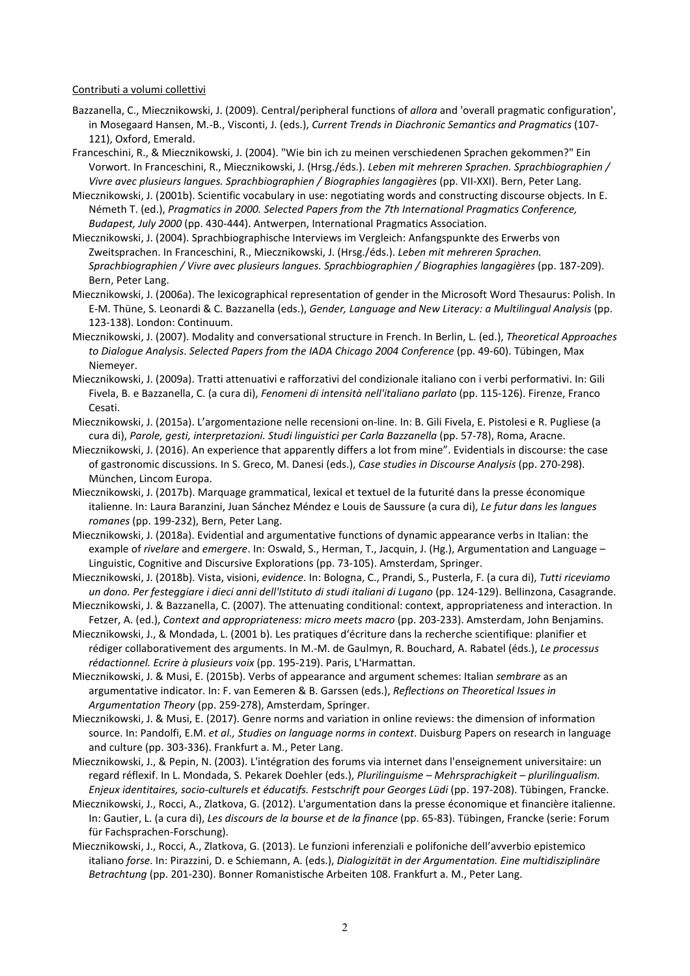#### Contributi a volumi collettivi

- Bazzanella, C., Miecznikowski, J. (2009). Central/peripheral functions of *allora* and 'overall pragmatic configuration', in Mosegaard Hansen, M.-B., Visconti, J. (eds.), *Current Trends in Diachronic Semantics and Pragmatics* (107- 121), Oxford, Emerald.
- Franceschini, R., & Miecznikowski, J. (2004). "Wie bin ich zu meinen verschiedenen Sprachen gekommen?" Ein Vorwort. In Franceschini, R., Miecznikowski, J. (Hrsg./éds.). *Leben mit mehreren Sprachen. Sprachbiographien / Vivre avec plusieurs langues. Sprachbiographien / Biographies langagières* (pp. VII-XXI). Bern, Peter Lang.
- Miecznikowski, J. (2001b). Scientific vocabulary in use: negotiating words and constructing discourse objects. In E. Németh T. (ed.), *Pragmatics in 2000. Selected Papers from the 7th International Pragmatics Conference, Budapest, July 2000* (pp. 430-444). Antwerpen, International Pragmatics Association.
- Miecznikowski, J. (2004). Sprachbiographische Interviews im Vergleich: Anfangspunkte des Erwerbs von Zweitsprachen. In Franceschini, R., Miecznikowski, J. (Hrsg./éds.). *Leben mit mehreren Sprachen. Sprachbiographien / Vivre avec plusieurs langues. Sprachbiographien / Biographies langagières* (pp. 187-209). Bern, Peter Lang.
- Miecznikowski, J. (2006a). The lexicographical representation of gender in the Microsoft Word Thesaurus: Polish. In E-M. Thüne, S. Leonardi & C. Bazzanella (eds.), *Gender, Language and New Literacy: a Multilingual Analysis* (pp. 123-138). London: Continuum.
- Miecznikowski, J. (2007). Modality and conversational structure in French. In Berlin, L. (ed.), *Theoretical Approaches to Dialogue Analysis*. *Selected Papers from the IADA Chicago 2004 Conference* (pp. 49-60). Tübingen, Max Niemeyer.
- Miecznikowski, J. (2009a). Tratti attenuativi e rafforzativi del condizionale italiano con i verbi performativi. In: Gili Fivela, B. e Bazzanella, C. (a cura di), *Fenomeni di intensità nell'italiano parlato* (pp. 115-126). Firenze, Franco Cesati.
- Miecznikowski, J. (2015a). L'argomentazione nelle recensioni on-line. In: B. Gili Fivela, E. Pistolesi e R. Pugliese (a cura di), *Parole, gesti, interpretazioni. Studi linguistici per Carla Bazzanella* (pp. 57-78), Roma, Aracne.
- Miecznikowski, J. (2016). An experience that apparently differs a lot from mine". Evidentials in discourse: the case of gastronomic discussions. In S. Greco, M. Danesi (eds.), *Case studies in Discourse Analysis* (pp. 270-298). München, Lincom Europa.
- Miecznikowski, J. (2017b). Marquage grammatical, lexical et textuel de la futurité dans la presse économique italienne. In: Laura Baranzini, Juan Sánchez Méndez e Louis de Saussure (a cura di), *Le futur dans les langues romanes* (pp. 199-232), Bern, Peter Lang.
- Miecznikowski, J. (2018a). Evidential and argumentative functions of dynamic appearance verbs in Italian: the example of *rivelare* and *emergere*. In: Oswald, S., Herman, T., Jacquin, J. (Hg.), Argumentation and Language – Linguistic, Cognitive and Discursive Explorations (pp. 73-105). Amsterdam, Springer.
- Miecznikowski, J. (2018b). Vista, visioni, *evidence*. In: Bologna, C., Prandi, S., Pusterla, F. (a cura di), *Tutti riceviamo un dono. Per festeggiare i dieci anni dell'Istituto di studi italiani di Lugano* (pp. 124-129). Bellinzona, Casagrande.
- Miecznikowski, J. & Bazzanella, C. (2007). The attenuating conditional: context, appropriateness and interaction. In Fetzer, A. (ed.), *Context and appropriateness: micro meets macro* (pp. 203-233). Amsterdam, John Benjamins.
- Miecznikowski, J., & Mondada, L. (2001 b). Les pratiques d'écriture dans la recherche scientifique: planifier et rédiger collaborativement des arguments. In M.-M. de Gaulmyn, R. Bouchard, A. Rabatel (éds.), *Le processus rédactionnel. Ecrire à plusieurs voix* (pp. 195-219). Paris, L'Harmattan.
- Miecznikowski, J. & Musi, E. (2015b). Verbs of appearance and argument schemes: Italian *sembrare* as an argumentative indicator. In: F. van Eemeren & B. Garssen (eds.), *Reflections on Theoretical Issues in Argumentation Theory* (pp. 259-278), Amsterdam, Springer.
- Miecznikowski, J. & Musi, E. (2017). Genre norms and variation in online reviews: the dimension of information source. In: Pandolfi, E.M. *et al., Studies on language norms in context*. Duisburg Papers on research in language and culture (pp. 303-336). Frankfurt a. M., Peter Lang.
- Miecznikowski, J., & Pepin, N. (2003). L'intégration des forums via internet dans l'enseignement universitaire: un regard réflexif. In L. Mondada, S. Pekarek Doehler (eds.), *Plurilinguisme – Mehrsprachigkeit – plurilingualism. Enjeux identitaires, socio-culturels et éducatifs. Festschrift pour Georges Lüdi* (pp. 197-208). Tübingen, Francke.
- Miecznikowski, J., Rocci, A., Zlatkova, G. (2012). L'argumentation dans la presse économique et financière italienne. In: Gautier, L. (a cura di), *Les discours de la bourse et de la finance* (pp. 65-83). Tübingen, Francke (serie: Forum für Fachsprachen-Forschung).
- Miecznikowski, J., Rocci, A., Zlatkova, G. (2013). Le funzioni inferenziali e polifoniche dell'avverbio epistemico italiano *forse*. In: Pirazzini, D. e Schiemann, A. (eds.), *Dialogizität in der Argumentation. Eine multidisziplinäre Betrachtung* (pp. 201-230). Bonner Romanistische Arbeiten 108. Frankfurt a. M., Peter Lang.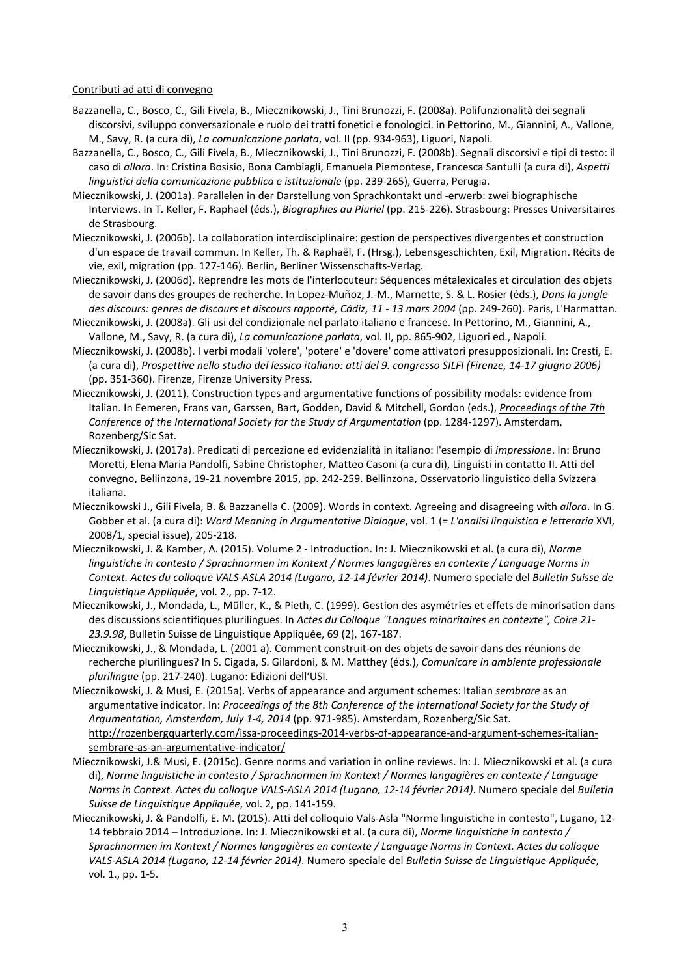## Contributi ad atti di convegno

- Bazzanella, C., Bosco, C., Gili Fivela, B., Miecznikowski, J., Tini Brunozzi, F. (2008a). Polifunzionalità dei segnali discorsivi, sviluppo conversazionale e ruolo dei tratti fonetici e fonologici. in Pettorino, M., Giannini, A., Vallone, M., Savy, R. (a cura di), *La comunicazione parlata*, vol. II (pp. 934-963), Liguori, Napoli.
- Bazzanella, C., Bosco, C., Gili Fivela, B., Miecznikowski, J., Tini Brunozzi, F. (2008b). Segnali discorsivi e tipi di testo: il caso di *allora*. In: Cristina Bosisio, Bona Cambiagli, Emanuela Piemontese, Francesca Santulli (a cura di), *Aspetti linguistici della comunicazione pubblica e istituzionale* (pp. 239-265), Guerra, Perugia.
- Miecznikowski, J. (2001a). Parallelen in der Darstellung von Sprachkontakt und -erwerb: zwei biographische Interviews. In T. Keller, F. Raphaël (éds.), *Biographies au Pluriel* (pp. 215-226). Strasbourg: Presses Universitaires de Strasbourg.
- Miecznikowski, J. (2006b). La collaboration interdisciplinaire: gestion de perspectives divergentes et construction d'un espace de travail commun. In Keller, Th. & Raphaël, F. (Hrsg.), Lebensgeschichten, Exil, Migration. Récits de vie, exil, migration (pp. 127-146). Berlin, Berliner Wissenschafts-Verlag.
- Miecznikowski, J. (2006d). Reprendre les mots de l'interlocuteur: Séquences métalexicales et circulation des objets de savoir dans des groupes de recherche. In Lopez-Muñoz, J.-M., Marnette, S. & L. Rosier (éds.), *Dans la jungle*  des discours: genres de discours et discours rapporté, Cádiz, 11 - 13 mars 2004 (pp. 249-260). Paris, L'Harmattan.
- Miecznikowski, J. (2008a). Gli usi del condizionale nel parlato italiano e francese. In Pettorino, M., Giannini, A., Vallone, M., Savy, R. (a cura di), *La comunicazione parlata*, vol. II, pp. 865-902, Liguori ed., Napoli.
- Miecznikowski, J. (2008b). I verbi modali 'volere', 'potere' e 'dovere' come attivatori presupposizionali. In: Cresti, E. (a cura di), *Prospettive nello studio del lessico italiano: atti del 9. congresso SILFI (Firenze, 14-17 giugno 2006)* (pp. 351-360). Firenze, Firenze University Press.
- Miecznikowski, J. (2011). Construction types and argumentative functions of possibility modals: evidence from Italian. In Eemeren, Frans van, Garssen, Bart, Godden, David & Mitchell, Gordon (eds.), *[Proceedings of the 7th](http://rozenbergquarterly.com/issa-proceedings-2010-construction-types-and-argumentative-functions-of-possibility-modals-evidence-from-italian/)  [Conference of the International Society for the Study of Argumentation](http://rozenbergquarterly.com/issa-proceedings-2010-construction-types-and-argumentative-functions-of-possibility-modals-evidence-from-italian/)* (pp. 1284-1297). Amsterdam, Rozenberg/Sic Sat.
- Miecznikowski, J. (2017a). Predicati di percezione ed evidenzialità in italiano: l'esempio di *impressione*. In: Bruno Moretti, Elena Maria Pandolfi, Sabine Christopher, Matteo Casoni (a cura di), Linguisti in contatto II. Atti del convegno, Bellinzona, 19-21 novembre 2015, pp. 242-259. Bellinzona, Osservatorio linguistico della Svizzera italiana.
- Miecznikowski J., Gili Fivela, B. & Bazzanella C. (2009). Words in context. Agreeing and disagreeing with *allora*. In G. Gobber et al. (a cura di): *Word Meaning in Argumentative Dialogue*, vol. 1 (= *L'analisi linguistica e letteraria* XVI, 2008/1, special issue), 205-218.
- Miecznikowski, J. & Kamber, A. (2015). Volume 2 Introduction. In: J. Miecznikowski et al. (a cura di), *Norme linguistiche in contesto / Sprachnormen im Kontext / Normes langagières en contexte / Language Norms in Context. Actes du colloque VALS-ASLA 2014 (Lugano, 12-14 février 2014)*. Numero speciale del *Bulletin Suisse de Linguistique Appliquée*, vol. 2., pp. 7-12.
- Miecznikowski, J., Mondada, L., Müller, K., & Pieth, C. (1999). Gestion des asymétries et effets de minorisation dans des discussions scientifiques plurilingues. In *Actes du Colloque "Langues minoritaires en contexte", Coire 21- 23.9.98*, Bulletin Suisse de Linguistique Appliquée, 69 (2), 167-187.
- Miecznikowski, J., & Mondada, L. (2001 a). Comment construit-on des objets de savoir dans des réunions de recherche plurilingues? In S. Cigada, S. Gilardoni, & M. Matthey (éds.), *Comunicare in ambiente professionale plurilingue* (pp. 217-240). Lugano: Edizioni dell'USI.
- Miecznikowski, J. & Musi, E. (2015a). Verbs of appearance and argument schemes: Italian *sembrare* as an argumentative indicator. In: *Proceedings of the 8th Conference of the International Society for the Study of Argumentation, Amsterdam, July 1-4, 2014* (pp. 971-985). Amsterdam, Rozenberg/Sic Sat. [http://rozenbergquarterly.com/issa-proceedings-2014-verbs-of-appearance-and-argument-schemes-italian](http://rozenbergquarterly.com/issa-proceedings-2014-verbs-of-appearance-and-argument-schemes-italian-sembrare-as-an-argumentative-indicator/)[sembrare-as-an-argumentative-indicator/](http://rozenbergquarterly.com/issa-proceedings-2014-verbs-of-appearance-and-argument-schemes-italian-sembrare-as-an-argumentative-indicator/)
- Miecznikowski, J.& Musi, E. (2015c). Genre norms and variation in online reviews. In: J. Miecznikowski et al. (a cura di), *Norme linguistiche in contesto / Sprachnormen im Kontext / Normes langagières en contexte / Language Norms in Context. Actes du colloque VALS-ASLA 2014 (Lugano, 12-14 février 2014)*. Numero speciale del *Bulletin Suisse de Linguistique Appliquée*, vol. 2, pp. 141-159.
- Miecznikowski, J. & Pandolfi, E. M. (2015). Atti del colloquio Vals-Asla "Norme linguistiche in contesto", Lugano, 12- 14 febbraio 2014 – Introduzione. In: J. Miecznikowski et al. (a cura di), *Norme linguistiche in contesto / Sprachnormen im Kontext / Normes langagières en contexte / Language Norms in Context. Actes du colloque VALS-ASLA 2014 (Lugano, 12-14 février 2014)*. Numero speciale del *Bulletin Suisse de Linguistique Appliquée*, vol. 1., pp. 1-5.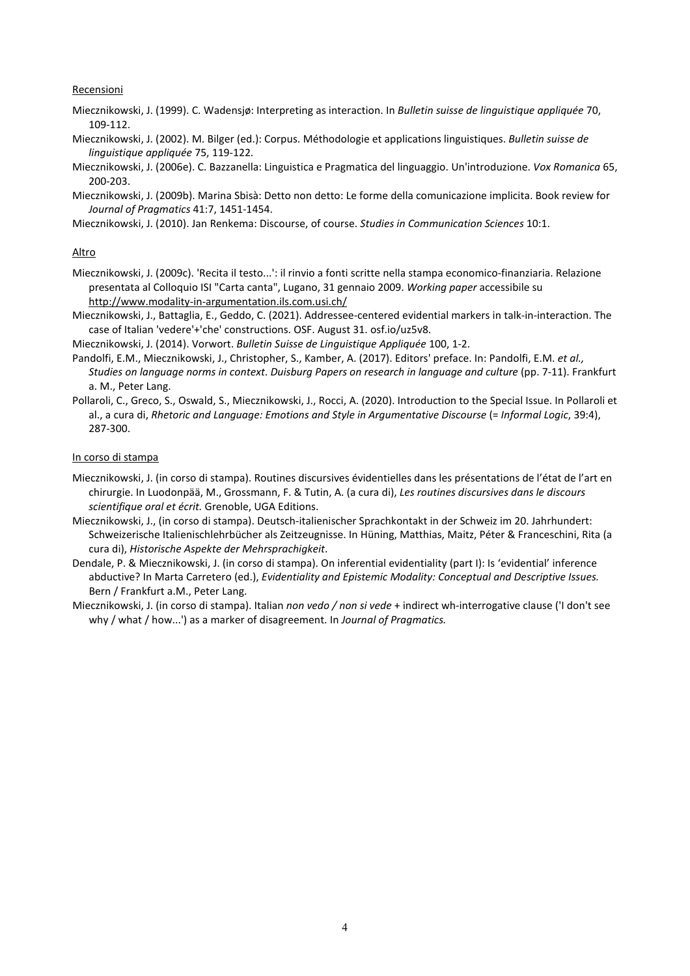## **Recensioni**

- Miecznikowski, J. (1999). C. Wadensjø: Interpreting as interaction. In *Bulletin suisse de linguistique appliquée* 70, 109-112.
- Miecznikowski, J. (2002). M. Bilger (ed.): Corpus. Méthodologie et applications linguistiques. *Bulletin suisse de linguistique appliquée* 75, 119-122.
- Miecznikowski, J. (2006e). C. Bazzanella: Linguistica e Pragmatica del linguaggio. Un'introduzione. *Vox Romanica* 65, 200-203.

Miecznikowski, J. (2009b). Marina Sbisà: Detto non detto: Le forme della comunicazione implicita. Book review for *Journal of Pragmatics* 41:7, 1451-1454.

Miecznikowski, J. (2010). Jan Renkema: Discourse, of course. *Studies in Communication Sciences* 10:1.

## Altro

Miecznikowski, J. (2009c). 'Recita il testo...': il rinvio a fonti scritte nella stampa economico-finanziaria. Relazione presentata al Colloquio ISI "Carta canta", Lugano, 31 gennaio 2009. *Working paper* accessibile su <http://www.modality-in-argumentation.ils.com.usi.ch/>

- Miecznikowski, J., Battaglia, E., Geddo, C. (2021). Addressee-centered evidential markers in talk-in-interaction. The case of Italian 'vedere'+'che' constructions. OSF. August 31. osf.io/uz5v8.
- Miecznikowski, J. (2014). Vorwort. *Bulletin Suisse de Linguistique Appliquée* 100, 1-2.
- Pandolfi, E.M., Miecznikowski, J., Christopher, S., Kamber, A. (2017). Editors' preface. In: Pandolfi, E.M. *et al., Studies on language norms in context*. *Duisburg Papers on research in language and culture* (pp. 7-11). Frankfurt a. M., Peter Lang.
- Pollaroli, C., Greco, S., Oswald, S., Miecznikowski, J., Rocci, A. (2020). Introduction to the Special Issue. In Pollaroli et al., a cura di, *Rhetoric and Language: Emotions and Style in Argumentative Discourse* (= *Informal Logic*, 39:4), 287-300.

#### In corso di stampa

- Miecznikowski, J. (in corso di stampa). Routines discursives évidentielles dans les présentations de l'état de l'art en chirurgie. In Luodonpää, M., Grossmann, F. & Tutin, A. (a cura di), *Les routines discursives dans le discours scientifique oral et écrit.* Grenoble, UGA Editions.
- Miecznikowski, J., (in corso di stampa). Deutsch-italienischer Sprachkontakt in der Schweiz im 20. Jahrhundert: Schweizerische Italienischlehrbücher als Zeitzeugnisse. In Hüning, Matthias, Maitz, Péter & Franceschini, Rita (a cura di), *Historische Aspekte der Mehrsprachigkeit*.
- Dendale, P. & Miecznikowski, J. (in corso di stampa). On inferential evidentiality (part I): Is 'evidential' inference abductive? In Marta Carretero (ed.), *Evidentiality and Epistemic Modality: Conceptual and Descriptive Issues.* Bern / Frankfurt a.M., Peter Lang.

Miecznikowski, J. (in corso di stampa). Italian *non vedo / non si vede* + indirect wh-interrogative clause ('I don't see why / what / how...') as a marker of disagreement. In *Journal of Pragmatics.*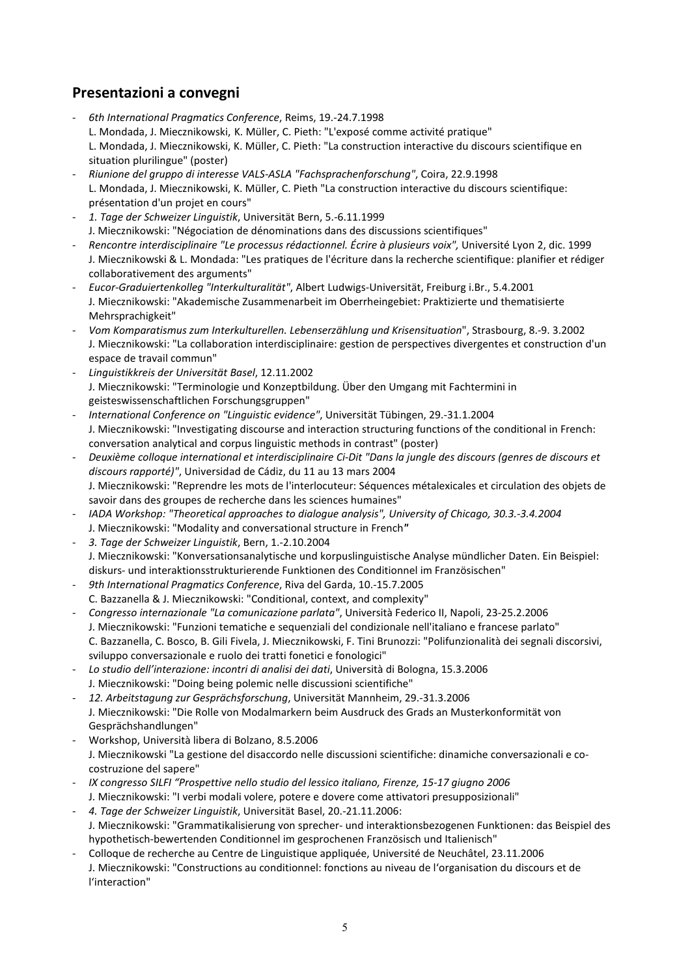# **Presentazioni a convegni**

- *6th International Pragmatics Conference*, Reims, 19.-24.7.1998 L. Mondada, J. Miecznikowski, K. Müller, C. Pieth: "L'exposé comme activité pratique" L. Mondada, J. Miecznikowski, K. Müller, C. Pieth: "La construction interactive du discours scientifique en situation plurilingue" (poster)
- *Riunione del gruppo di interesse VALS-ASLA "Fachsprachenforschung"*, Coira, 22.9.1998 L. Mondada, J. Miecznikowski, K. Müller, C. Pieth "La construction interactive du discours scientifique: présentation d'un projet en cours"
- *1. Tage der Schweizer Linguistik*, Universität Bern, 5.-6.11.1999 J. Miecznikowski: "Négociation de dénominations dans des discussions scientifiques"
- *Rencontre interdisciplinaire "Le processus rédactionnel. Écrire à plusieurs voix",* Université Lyon 2, dic. 1999 J. Miecznikowski & L. Mondada: "Les pratiques de l'écriture dans la recherche scientifique: planifier et rédiger collaborativement des arguments"
- *Eucor-Graduiertenkolleg "Interkulturalität"*, Albert Ludwigs-Universität, Freiburg i.Br., 5.4.2001 J. Miecznikowski: "Akademische Zusammenarbeit im Oberrheingebiet: Praktizierte und thematisierte Mehrsprachigkeit"
- *Vom Komparatismus zum Interkulturellen. Lebenserzählung und Krisensituation*", Strasbourg, 8.-9. 3.2002 J. Miecznikowski: "La collaboration interdisciplinaire: gestion de perspectives divergentes et construction d'un espace de travail commun"
- *Linguistikkreis der Universität Basel*, 12.11.2002 J. Miecznikowski: "Terminologie und Konzeptbildung. Über den Umgang mit Fachtermini in geisteswissenschaftlichen Forschungsgruppen"
- *International Conference on "Linguistic evidence"*, Universität Tübingen, 29.-31.1.2004 J. Miecznikowski: "Investigating discourse and interaction structuring functions of the conditional in French: conversation analytical and corpus linguistic methods in contrast" (poster)
- *Deuxième colloque international et interdisciplinaire Ci-Dit "Dans la jungle des discours (genres de discours et discours rapporté)"*, Universidad de Cádiz, du 11 au 13 mars 2004 J. Miecznikowski: "Reprendre les mots de l'interlocuteur: Séquences métalexicales et circulation des objets de savoir dans des groupes de recherche dans les sciences humaines"
- *IADA Workshop: "Theoretical approaches to dialogue analysis", University of Chicago, 30.3.-3.4.2004* J. Miecznikowski: "Modality and conversational structure in French*"*
- *3. Tage der Schweizer Linguistik*, Bern, 1.-2.10.2004 J. Miecznikowski: "Konversationsanalytische und korpuslinguistische Analyse mündlicher Daten. Ein Beispiel: diskurs- und interaktionsstrukturierende Funktionen des Conditionnel im Französischen"
- *9th International Pragmatics Conference*, Riva del Garda, 10.-15.7.2005 C. Bazzanella & J. Miecznikowski: "Conditional, context, and complexity"
- *Congresso internazionale "La comunicazione parlata"*, Università Federico II, Napoli, 23-25.2.2006 J. Miecznikowski: "Funzioni tematiche e sequenziali del condizionale nell'italiano e francese parlato" C. Bazzanella, C. Bosco, B. Gili Fivela, J. Miecznikowski, F. Tini Brunozzi: "Polifunzionalità dei segnali discorsivi, sviluppo conversazionale e ruolo dei tratti fonetici e fonologici"
- *Lo studio dell'interazione: incontri di analisi dei dati*, Università di Bologna, 15.3.2006 J. Miecznikowski: "Doing being polemic nelle discussioni scientifiche"
- *12. Arbeitstagung zur Gesprächsforschung*, Universität Mannheim, 29.-31.3.2006 J. Miecznikowski: "Die Rolle von Modalmarkern beim Ausdruck des Grads an Musterkonformität von Gesprächshandlungen"
- Workshop, Università libera di Bolzano, 8.5.2006 J. Miecznikowski "La gestione del disaccordo nelle discussioni scientifiche: dinamiche conversazionali e cocostruzione del sapere"
- *IX congresso SILFI "Prospettive nello studio del lessico italiano, Firenze, 15-17 giugno 2006* J. Miecznikowski: "I verbi modali volere, potere e dovere come attivatori presupposizionali"
- *4. Tage der Schweizer Linguistik*, Universität Basel, 20.-21.11.2006: J. Miecznikowski: "Grammatikalisierung von sprecher- und interaktionsbezogenen Funktionen: das Beispiel des hypothetisch-bewertenden Conditionnel im gesprochenen Französisch und Italienisch"
- Colloque de recherche au Centre de Linguistique appliquée, Université de Neuchâtel, 23.11.2006 J. Miecznikowski: "Constructions au conditionnel: fonctions au niveau de l'organisation du discours et de l'interaction"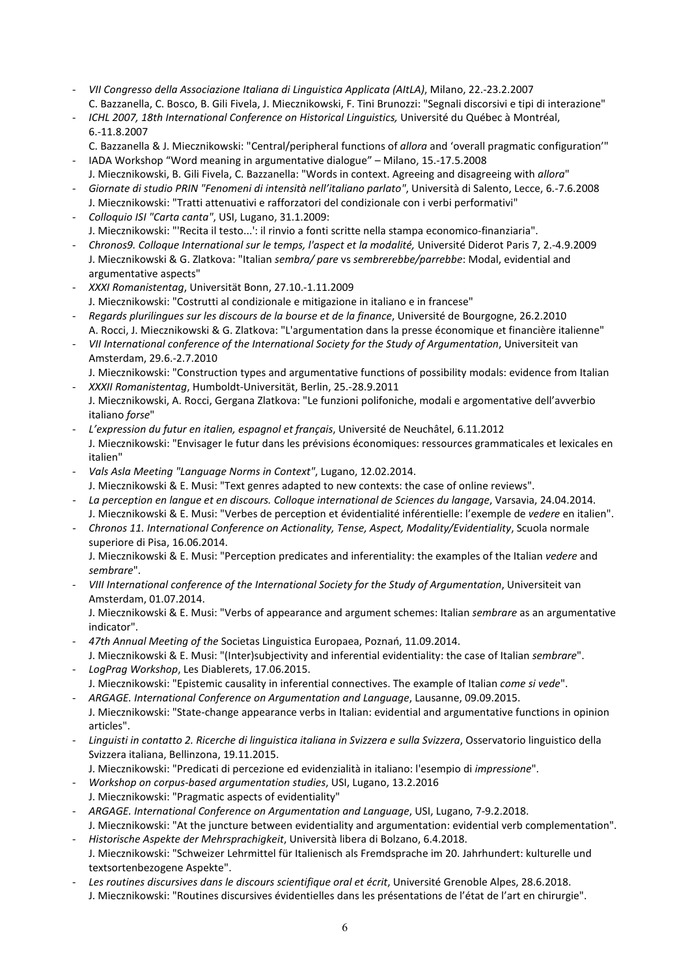- *VII Congresso della Associazione Italiana di Linguistica Applicata (AItLA)*, Milano, 22.-23.2.2007 C. Bazzanella, C. Bosco, B. Gili Fivela, J. Miecznikowski, F. Tini Brunozzi: "Segnali discorsivi e tipi di interazione"
- *ICHL 2007, 18th International Conference on Historical Linguistics,* Université du Québec à Montréal, 6.-11.8.2007
- C. Bazzanella & J. Miecznikowski: "Central/peripheral functions of *allora* and 'overall pragmatic configuration'" - IADA Workshop "Word meaning in argumentative dialogue" – Milano, 15.-17.5.2008
- J. Miecznikowski, B. Gili Fivela, C. Bazzanella: "Words in context. Agreeing and disagreeing with *allora*"
- *Giornate di studio PRIN "Fenomeni di intensità nell'italiano parlato"*, Università di Salento, Lecce, 6.-7.6.2008 J. Miecznikowski: "Tratti attenuativi e rafforzatori del condizionale con i verbi performativi"
- *Colloquio ISI "Carta canta"*, USI, Lugano, 31.1.2009: J. Miecznikowski: "'Recita il testo...': il rinvio a fonti scritte nella stampa economico-finanziaria".
- *Chronos9. Colloque International sur le temps, l'aspect et la modalité,* Université Diderot Paris 7, 2.-4.9.2009 J. Miecznikowski & G. Zlatkova: "Italian *sembra/ pare* vs *sembrerebbe/parrebbe*: Modal, evidential and argumentative aspects"
- *XXXI Romanistentag*, Universität Bonn, 27.10.-1.11.2009 J. Miecznikowski: "Costrutti al condizionale e mitigazione in italiano e in francese"
- *Regards plurilingues sur les discours de la bourse et de la finance*, Université de Bourgogne, 26.2.2010 A. Rocci, J. Miecznikowski & G. Zlatkova: "L'argumentation dans la presse économique et financière italienne"
- *VII International conference of the International Society for the Study of Argumentation*, Universiteit van Amsterdam, 29.6.-2.7.2010
- J. Miecznikowski: "Construction types and argumentative functions of possibility modals: evidence from Italian - *XXXII Romanistentag*, Humboldt-Universität, Berlin, 25.-28.9.2011
- J. Miecznikowski, A. Rocci, Gergana Zlatkova: "Le funzioni polifoniche, modali e argomentative dell'avverbio italiano *forse*"
- *L'expression du futur en italien, espagnol et français*, Université de Neuchâtel, 6.11.2012 J. Miecznikowski: "Envisager le futur dans les prévisions économiques: ressources grammaticales et lexicales en italien"
- *Vals Asla Meeting "Language Norms in Context"*, Lugano, 12.02.2014.
- J. Miecznikowski & E. Musi: "Text genres adapted to new contexts: the case of online reviews".
- *La perception en langue et en discours. Colloque international de Sciences du langage*, Varsavia, 24.04.2014. J. Miecznikowski & E. Musi: "Verbes de perception et évidentialité inférentielle: l'exemple de *vedere* en italien".
- *Chronos 11. International Conference on Actionality, Tense, Aspect, Modality/Evidentiality*, Scuola normale superiore di Pisa, 16.06.2014.

J. Miecznikowski & E. Musi: "Perception predicates and inferentiality: the examples of the Italian *vedere* and *sembrare*".

- *VIII International conference of the International Society for the Study of Argumentation*, Universiteit van Amsterdam, 01.07.2014.

J. Miecznikowski & E. Musi: "Verbs of appearance and argument schemes: Italian *sembrare* as an argumentative indicator".

- *47th Annual Meeting of the* Societas Linguistica Europaea, Poznań, 11.09.2014.
- J. Miecznikowski & E. Musi: "(Inter)subjectivity and inferential evidentiality: the case of Italian *sembrare*". - *LogPrag Workshop*, Les Diablerets, 17.06.2015.
- J. Miecznikowski: "Epistemic causality in inferential connectives. The example of Italian *come si vede*". - *ARGAGE. International Conference on Argumentation and Language*, Lausanne, 09.09.2015.
- J. Miecznikowski: "State-change appearance verbs in Italian: evidential and argumentative functions in opinion articles".
- *Linguisti in contatto 2. Ricerche di linguistica italiana in Svizzera e sulla Svizzera*, Osservatorio linguistico della Svizzera italiana, Bellinzona, 19.11.2015.
- J. Miecznikowski: "Predicati di percezione ed evidenzialità in italiano: l'esempio di *impressione*".
- *Workshop on corpus-based argumentation studies*, USI, Lugano, 13.2.2016 J. Miecznikowski: "Pragmatic aspects of evidentiality"
- *ARGAGE. International Conference on Argumentation and Language*, USI, Lugano, 7-9.2.2018. J. Miecznikowski: "At the juncture between evidentiality and argumentation: evidential verb complementation".
- *Historische Aspekte der Mehrsprachigkeit*, Università libera di Bolzano, 6.4.2018. J. Miecznikowski: "Schweizer Lehrmittel für Italienisch als Fremdsprache im 20. Jahrhundert: kulturelle und textsortenbezogene Aspekte".
- *Les routines discursives dans le discours scientifique oral et écrit*, Université Grenoble Alpes, 28.6.2018. J. Miecznikowski: "Routines discursives évidentielles dans les présentations de l'état de l'art en chirurgie".